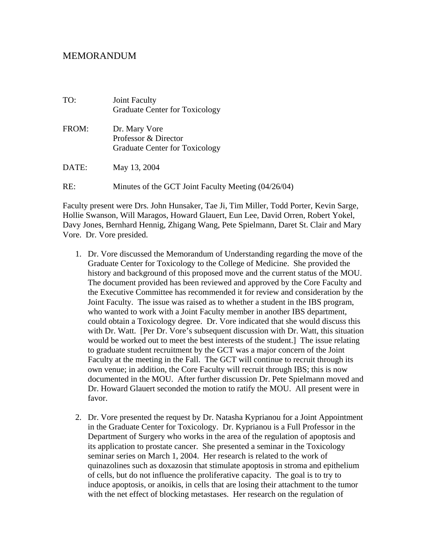## MEMORANDUM

| TO:   | Joint Faculty<br><b>Graduate Center for Toxicology</b>                         |
|-------|--------------------------------------------------------------------------------|
| FROM: | Dr. Mary Vore<br>Professor & Director<br><b>Graduate Center for Toxicology</b> |
| DATE: | May 13, 2004                                                                   |
| RE:   | Minutes of the GCT Joint Faculty Meeting (04/26/04)                            |

Faculty present were Drs. John Hunsaker, Tae Ji, Tim Miller, Todd Porter, Kevin Sarge, Hollie Swanson, Will Maragos, Howard Glauert, Eun Lee, David Orren, Robert Yokel, Davy Jones, Bernhard Hennig, Zhigang Wang, Pete Spielmann, Daret St. Clair and Mary Vore. Dr. Vore presided.

- 1. Dr. Vore discussed the Memorandum of Understanding regarding the move of the Graduate Center for Toxicology to the College of Medicine. She provided the history and background of this proposed move and the current status of the MOU. The document provided has been reviewed and approved by the Core Faculty and the Executive Committee has recommended it for review and consideration by the Joint Faculty. The issue was raised as to whether a student in the IBS program, who wanted to work with a Joint Faculty member in another IBS department, could obtain a Toxicology degree. Dr. Vore indicated that she would discuss this with Dr. Watt. [Per Dr. Vore's subsequent discussion with Dr. Watt, this situation would be worked out to meet the best interests of the student.] The issue relating to graduate student recruitment by the GCT was a major concern of the Joint Faculty at the meeting in the Fall. The GCT will continue to recruit through its own venue; in addition, the Core Faculty will recruit through IBS; this is now documented in the MOU. After further discussion Dr. Pete Spielmann moved and Dr. Howard Glauert seconded the motion to ratify the MOU. All present were in favor.
- 2. Dr. Vore presented the request by Dr. Natasha Kyprianou for a Joint Appointment in the Graduate Center for Toxicology. Dr. Kyprianou is a Full Professor in the Department of Surgery who works in the area of the regulation of apoptosis and its application to prostate cancer. She presented a seminar in the Toxicology seminar series on March 1, 2004. Her research is related to the work of quinazolines such as doxazosin that stimulate apoptosis in stroma and epithelium of cells, but do not influence the proliferative capacity. The goal is to try to induce apoptosis, or anoikis, in cells that are losing their attachment to the tumor with the net effect of blocking metastases. Her research on the regulation of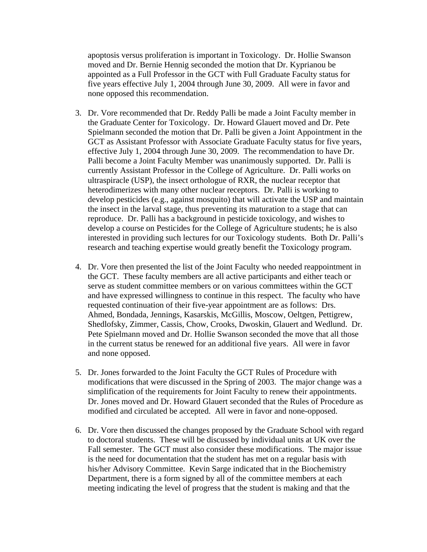apoptosis versus proliferation is important in Toxicology. Dr. Hollie Swanson moved and Dr. Bernie Hennig seconded the motion that Dr. Kyprianou be appointed as a Full Professor in the GCT with Full Graduate Faculty status for five years effective July 1, 2004 through June 30, 2009. All were in favor and none opposed this recommendation.

- 3. Dr. Vore recommended that Dr. Reddy Palli be made a Joint Faculty member in the Graduate Center for Toxicology. Dr. Howard Glauert moved and Dr. Pete Spielmann seconded the motion that Dr. Palli be given a Joint Appointment in the GCT as Assistant Professor with Associate Graduate Faculty status for five years, effective July 1, 2004 through June 30, 2009. The recommendation to have Dr. Palli become a Joint Faculty Member was unanimously supported. Dr. Palli is currently Assistant Professor in the College of Agriculture. Dr. Palli works on ultraspiracle (USP), the insect orthologue of RXR, the nuclear receptor that heterodimerizes with many other nuclear receptors. Dr. Palli is working to develop pesticides (e.g., against mosquito) that will activate the USP and maintain the insect in the larval stage, thus preventing its maturation to a stage that can reproduce. Dr. Palli has a background in pesticide toxicology, and wishes to develop a course on Pesticides for the College of Agriculture students; he is also interested in providing such lectures for our Toxicology students. Both Dr. Palli's research and teaching expertise would greatly benefit the Toxicology program.
- 4. Dr. Vore then presented the list of the Joint Faculty who needed reappointment in the GCT. These faculty members are all active participants and either teach or serve as student committee members or on various committees within the GCT and have expressed willingness to continue in this respect. The faculty who have requested continuation of their five-year appointment are as follows: Drs. Ahmed, Bondada, Jennings, Kasarskis, McGillis, Moscow, Oeltgen, Pettigrew, Shedlofsky, Zimmer, Cassis, Chow, Crooks, Dwoskin, Glauert and Wedlund. Dr. Pete Spielmann moved and Dr. Hollie Swanson seconded the move that all those in the current status be renewed for an additional five years. All were in favor and none opposed.
- 5. Dr. Jones forwarded to the Joint Faculty the GCT Rules of Procedure with modifications that were discussed in the Spring of 2003. The major change was a simplification of the requirements for Joint Faculty to renew their appointments. Dr. Jones moved and Dr. Howard Glauert seconded that the Rules of Procedure as modified and circulated be accepted. All were in favor and none-opposed.
- 6. Dr. Vore then discussed the changes proposed by the Graduate School with regard to doctoral students. These will be discussed by individual units at UK over the Fall semester. The GCT must also consider these modifications. The major issue is the need for documentation that the student has met on a regular basis with his/her Advisory Committee. Kevin Sarge indicated that in the Biochemistry Department, there is a form signed by all of the committee members at each meeting indicating the level of progress that the student is making and that the